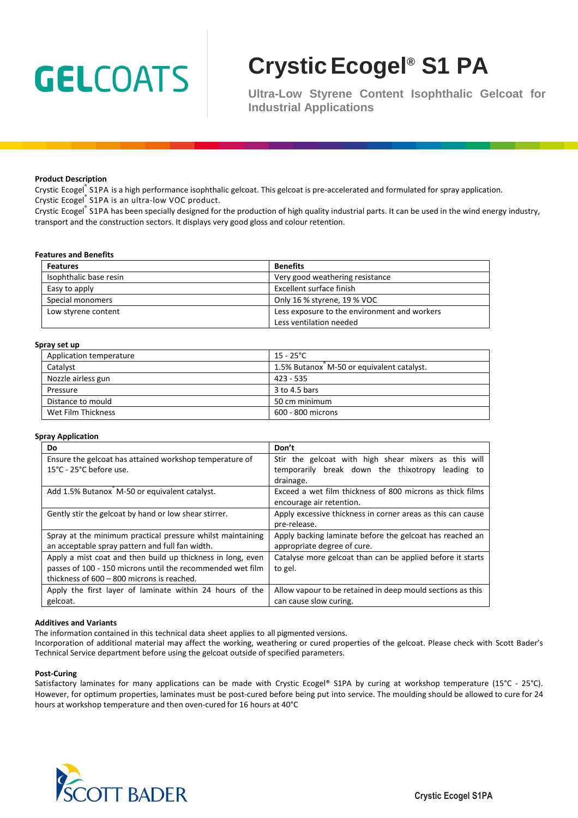# **GELCOATS**

# **CrysticEcogel® S1 PA**

**Ultra-Low Styrene Content Isophthalic Gelcoat for Industrial Applications**

#### **Product Description**

Crystic Ecogel® S1PA is a high performance isophthalic gelcoat. This gelcoat is pre-accelerated and formulated for spray application. Crystic Ecogel<sup>®</sup> S1PA is an ultra-low VOC product.

Crystic Ecogel® S1PA has been specially designed for the production of high quality industrial parts. It can be used in the wind energy industry, transport and the construction sectors. It displays very good gloss and colour retention.

#### **Features and Benefits**

| <b>Features</b>        | <b>Benefits</b>                              |  |
|------------------------|----------------------------------------------|--|
| Isophthalic base resin | Very good weathering resistance              |  |
| Easy to apply          | Excellent surface finish                     |  |
| Special monomers       | Only 16 % styrene, 19 % VOC                  |  |
| Low styrene content    | Less exposure to the environment and workers |  |
|                        | Less ventilation needed                      |  |

#### **Spray set up**

| Application temperature | 15 - 25°C                                 |
|-------------------------|-------------------------------------------|
| Catalyst                | 1.5% Butanox M-50 or equivalent catalyst. |
| Nozzle airless gun      | 423 - 535                                 |
| Pressure                | 3 to 4.5 bars                             |
| Distance to mould       | 50 cm minimum                             |
| Wet Film Thickness      | 600 - 800 microns                         |

#### **Spray Application**

| Do                                                          | Don't                                                       |
|-------------------------------------------------------------|-------------------------------------------------------------|
| Ensure the gelcoat has attained workshop temperature of     | Stir the gelcoat with high shear mixers as this will        |
| 15°C - 25°C before use.                                     | temporarily break down the thixotropy leading to            |
|                                                             | drainage.                                                   |
| Add 1.5% Butanox M-50 or equivalent catalyst.               | Exceed a wet film thickness of 800 microns as thick films   |
|                                                             | encourage air retention.                                    |
| Gently stir the gelcoat by hand or low shear stirrer.       | Apply excessive thickness in corner areas as this can cause |
|                                                             | pre-release.                                                |
| Spray at the minimum practical pressure whilst maintaining  | Apply backing laminate before the gelcoat has reached an    |
| an acceptable spray pattern and full fan width.             | appropriate degree of cure.                                 |
| Apply a mist coat and then build up thickness in long, even | Catalyse more gelcoat than can be applied before it starts  |
| passes of 100 - 150 microns until the recommended wet film  | to gel.                                                     |
| thickness of 600 - 800 microns is reached.                  |                                                             |
| Apply the first layer of laminate within 24 hours of the    | Allow vapour to be retained in deep mould sections as this  |
| gelcoat.                                                    | can cause slow curing.                                      |

#### **Additives and Variants**

The information contained in this technical data sheet applies to all pigmented versions.

Incorporation of additional material may affect the working, weathering or cured properties of the gelcoat. Please check with Scott Bader's Technical Service department before using the gelcoat outside of specified parameters.

#### **Post-Curing**

Satisfactory laminates for many applications can be made with Crystic Ecogel® S1PA by curing at workshop temperature (15°C - 25°C). However, for optimum properties, laminates must be post-cured before being put into service. The moulding should be allowed to cure for 24 hours at workshop temperature and then oven-cured for 16 hours at 40°C